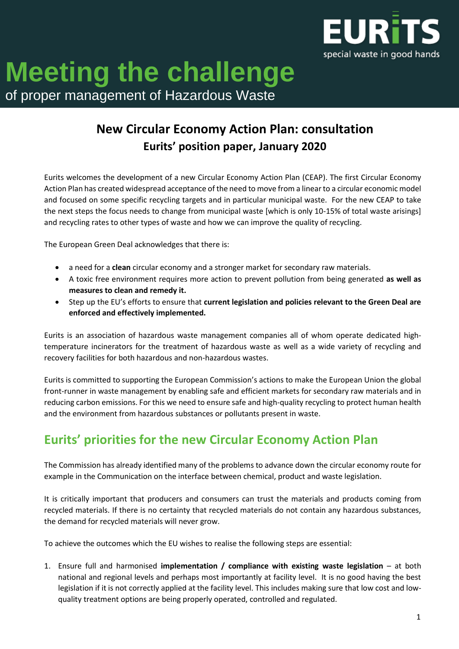

# **Meeting the challenge** of proper management of Hazardous Waste

# **New Circular Economy Action Plan: consultation Eurits' position paper, January 2020**

Eurits welcomes the development of a new Circular Economy Action Plan (CEAP). The first Circular Economy Action Plan has created widespread acceptance of the need to move from a linear to a circular economic model and focused on some specific recycling targets and in particular municipal waste. For the new CEAP to take the next steps the focus needs to change from municipal waste [which is only 10-15% of total waste arisings] and recycling rates to other types of waste and how we can improve the quality of recycling.

The European Green Deal acknowledges that there is:

- a need for a **clean** circular economy and a stronger market for secondary raw materials.
- A toxic free environment requires more action to prevent pollution from being generated **as well as measures to clean and remedy it.**
- Step up the EU's efforts to ensure that **current legislation and policies relevant to the Green Deal are enforced and effectively implemented.**

Eurits is an association of hazardous waste management companies all of whom operate dedicated hightemperature incinerators for the treatment of hazardous waste as well as a wide variety of recycling and recovery facilities for both hazardous and non-hazardous wastes.

Eurits is committed to supporting the European Commission's actions to make the European Union the global front-runner in waste management by enabling safe and efficient markets for secondary raw materials and in reducing carbon emissions. For this we need to ensure safe and high-quality recycling to protect human health and the environment from hazardous substances or pollutants present in waste.

# **Eurits' priorities for the new Circular Economy Action Plan**

The Commission has already identified many of the problems to advance down the circular economy route for example in the Communication on the interface between chemical, product and waste legislation.

It is critically important that producers and consumers can trust the materials and products coming from recycled materials. If there is no certainty that recycled materials do not contain any hazardous substances, the demand for recycled materials will never grow.

To achieve the outcomes which the EU wishes to realise the following steps are essential:

1. Ensure full and harmonised **implementation / compliance with existing waste legislation** – at both national and regional levels and perhaps most importantly at facility level. It is no good having the best legislation if it is not correctly applied at the facility level. This includes making sure that low cost and lowquality treatment options are being properly operated, controlled and regulated.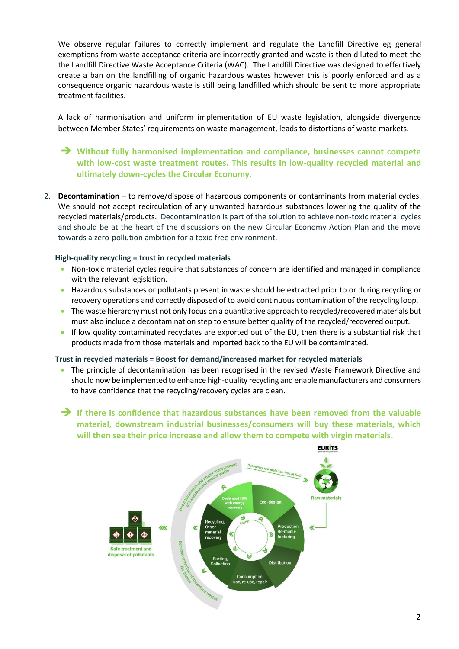We observe regular failures to correctly implement and regulate the Landfill Directive eg general exemptions from waste acceptance criteria are incorrectly granted and waste is then diluted to meet the the Landfill Directive Waste Acceptance Criteria (WAC). The Landfill Directive was designed to effectively create a ban on the landfilling of organic hazardous wastes however this is poorly enforced and as a consequence organic hazardous waste is still being landfilled which should be sent to more appropriate treatment facilities.

A lack of harmonisation and uniform implementation of EU waste legislation, alongside divergence between Member States' requirements on waste management, leads to distortions of waste markets.

 **Without fully harmonised implementation and compliance, businesses cannot compete with low-cost waste treatment routes. This results in low-quality recycled material and ultimately down-cycles the Circular Economy.**

2. **Decontamination** – to remove/dispose of hazardous components or contaminants from material cycles. We should not accept recirculation of any unwanted hazardous substances lowering the quality of the recycled materials/products. Decontamination is part of the solution to achieve non-toxic material cycles and should be at the heart of the discussions on the new Circular Economy Action Plan and the move towards a zero-pollution ambition for a toxic-free environment.

#### **High-quality recycling = trust in recycled materials**

- Non-toxic material cycles require that substances of concern are identified and managed in compliance with the relevant legislation.
- Hazardous substances or pollutants present in waste should be extracted prior to or during recycling or recovery operations and correctly disposed of to avoid continuous contamination of the recycling loop.
- The waste hierarchy must not only focus on a quantitative approach to recycled/recovered materials but must also include a decontamination step to ensure better quality of the recycled/recovered output.
- If low quality contaminated recyclates are exported out of the EU, then there is a substantial risk that products made from those materials and imported back to the EU will be contaminated.

#### **Trust in recycled materials = Boost for demand/increased market for recycled materials**

- The principle of decontamination has been recognised in the revised Waste Framework Directive and should now be implemented to enhance high-quality recycling and enable manufacturers and consumers to have confidence that the recycling/recovery cycles are clean.
- **If there is confidence that hazardous substances have been removed from the valuable material, downstream industrial businesses/consumers will buy these materials, which will then see their price increase and allow them to compete with virgin materials.**

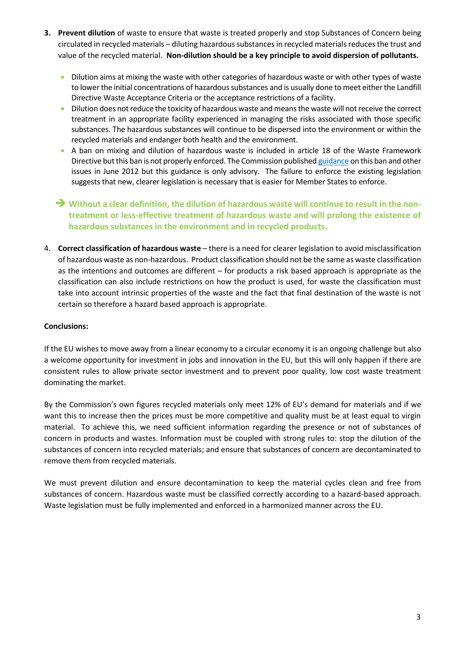- **3. Prevent dilution** of waste to ensure that waste is treated properly and stop Substances of Concern being circulated in recycled materials – diluting hazardous substances in recycled materials reduces the trust and value of the recycled material. **Non-dilution should be a key principle to avoid dispersion of pollutants.**
	- Dilution aims at mixing the waste with other categories of hazardous waste or with other types of waste to lower the initial concentrations of hazardous substances and is usually done to meet either the Landfill Directive Waste Acceptance Criteria or the acceptance restrictions of a facility.
	- Dilution does not reduce the toxicity of hazardous waste and means the waste will not receive the correct treatment in an appropriate facility experienced in managing the risks associated with those specific substances. The hazardous substances will continue to be dispersed into the environment or within the recycled materials and endanger both health and the environment.
	- A ban on mixing and dilution of hazardous waste is included in article 18 of the Waste Framework Directive but this ban is not properly enforced. The Commission publishe[d guidance](https://ec.europa.eu/environment/waste/framework/pdf/guidance_doc.pdf) on this ban and other issues in June 2012 but this guidance is only advisory. The failure to enforce the existing legislation suggests that new, clearer legislation is necessary that is easier for Member States to enforce.
	- **→** Without a clear definition, the dilution of hazardous waste will continue to result in the non**treatment or less-effective treatment of hazardous waste and will prolong the existence of hazardous substances in the environment and in recycled products.**
- 4. **Correct classification of hazardous waste** there is a need for clearer legislation to avoid misclassification of hazardous waste as non-hazardous. Product classification should not be the same as waste classification as the intentions and outcomes are different – for products a risk based approach is appropriate as the classification can also include restrictions on how the product is used, for waste the classification must take into account intrinsic properties of the waste and the fact that final destination of the waste is not certain so therefore a hazard based approach is appropriate.

#### **Conclusions:**

If the EU wishes to move away from a linear economy to a circular economy it is an ongoing challenge but also a welcome opportunity for investment in jobs and innovation in the EU, but this will only happen if there are consistent rules to allow private sector investment and to prevent poor quality, low cost waste treatment dominating the market.

By the Commission's own figures recycled materials only meet 12% of EU's demand for materials and if we want this to increase then the prices must be more competitive and quality must be at least equal to virgin material. To achieve this, we need sufficient information regarding the presence or not of substances of concern in products and wastes. Information must be coupled with strong rules to: stop the dilution of the substances of concern into recycled materials; and ensure that substances of concern are decontaminated to remove them from recycled materials.

We must prevent dilution and ensure decontamination to keep the material cycles clean and free from substances of concern. Hazardous waste must be classified correctly according to a hazard-based approach. Waste legislation must be fully implemented and enforced in a harmonized manner across the EU.